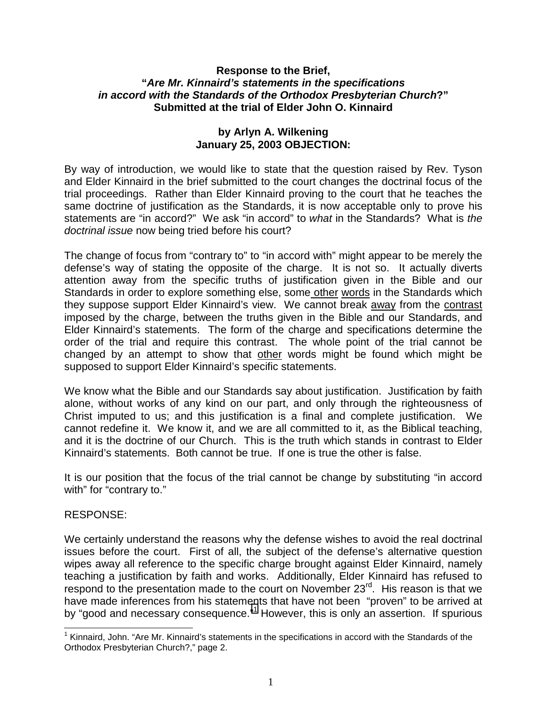## **Response to the Brief, "***Are Mr. Kinnaird's statements in the specifications in accord with the Standards of the Orthodox Presbyterian Church***?" Submitted at the trial of Elder John O. Kinnaird**

## **by Arlyn A. Wilkening January 25, 2003 OBJECTION:**

By way of introduction, we would like to state that the question raised by Rev. Tyson and Elder Kinnaird in the brief submitted to the court changes the doctrinal focus of the trial proceedings. Rather than Elder Kinnaird proving to the court that he teaches the same doctrine of justification as the Standards, it is now acceptable only to prove his statements are "in accord?" We ask "in accord" to *what* in the Standards? What is *the doctrinal issue* now being tried before his court?

The change of focus from "contrary to" to "in accord with" might appear to be merely the defense's way of stating the opposite of the charge. It is not so. It actually diverts attention away from the specific truths of justification given in the Bible and our Standards in order to explore something else, some other words in the Standards which they suppose support Elder Kinnaird's view. We cannot break away from the contrast imposed by the charge, between the truths given in the Bible and our Standards, and Elder Kinnaird's statements. The form of the charge and specifications determine the order of the trial and require this contrast. The whole point of the trial cannot be changed by an attempt to show that other words might be found which might be supposed to support Elder Kinnaird's specific statements.

We know what the Bible and our Standards say about justification. Justification by faith alone, without works of any kind on our part, and only through the righteousness of Christ imputed to us; and this justification is a final and complete justification. We cannot redefine it. We know it, and we are all committed to it, as the Biblical teaching, and it is the doctrine of our Church. This is the truth which stands in contrast to Elder Kinnaird's statements. Both cannot be true. If one is true the other is false.

It is our position that the focus of the trial cannot be change by substituting "in accord with" for "contrary to."

## RESPONSE:

 $\overline{a}$ 

We certainly understand the reasons why the defense wishes to avoid the real doctrinal issues before the court. First of all, the subject of the defense's alternative question wipes away all reference to the specific charge brought against Elder Kinnaird, namely teaching a justification by faith and works. Additionally, Elder Kinnaird has refused to respond to the presentation made to the court on November 23<sup>rd</sup>. His reason is that we have made inferences from his statements that have not been "proven" to be arrived at by "good and necessary consequence."<sup>1</sup> However, this is only an assertion. If spurious

<sup>&</sup>lt;sup>1</sup> Kinnaird, John. "Are Mr. Kinnaird's statements in the specifications in accord with the Standards of the Orthodox Presbyterian Church?," page 2.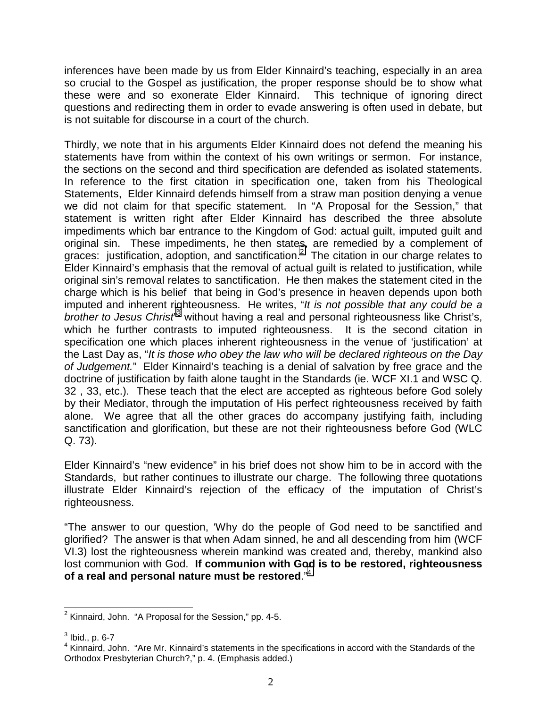inferences have been made by us from Elder Kinnaird's teaching, especially in an area so crucial to the Gospel as justification, the proper response should be to show what these were and so exonerate Elder Kinnaird. This technique of ignoring direct questions and redirecting them in order to evade answering is often used in debate, but is not suitable for discourse in a court of the church.

Thirdly, we note that in his arguments Elder Kinnaird does not defend the meaning his statements have from within the context of his own writings or sermon. For instance, the sections on the second and third specification are defended as isolated statements. In reference to the first citation in specification one, taken from his Theological Statements, Elder Kinnaird defends himself from a straw man position denying a venue we did not claim for that specific statement. In "A Proposal for the Session," that statement is written right after Elder Kinnaird has described the three absolute impediments which bar entrance to the Kingdom of God: actual guilt, imputed guilt and original sin. These impediments, he then states, are remedied by a complement of graces: justification, adoption, and sanctification.<sup>2</sup> The citation in our charge relates to Elder Kinnaird's emphasis that the removal of actual guilt is related to justification, while original sin's removal relates to sanctification. He then makes the statement cited in the charge which is his belief that being in God's presence in heaven depends upon both imputed and inherent righteousness. He writes, "*It is not possible that any could be a* brother to Jesus Christ<sup>13</sup> without having a real and personal righteousness like Christ's, which he further contrasts to imputed righteousness. It is the second citation in specification one which places inherent righteousness in the venue of 'justification' at the Last Day as, "*It is those who obey the law who will be declared righteous on the Day of Judgement.*" Elder Kinnaird's teaching is a denial of salvation by free grace and the doctrine of justification by faith alone taught in the Standards (ie. WCF XI.1 and WSC Q. 32 , 33, etc.). These teach that the elect are accepted as righteous before God solely by their Mediator, through the imputation of His perfect righteousness received by faith alone. We agree that all the other graces do accompany justifying faith, including sanctification and glorification, but these are not their righteousness before God (WLC Q. 73).

Elder Kinnaird's "new evidence" in his brief does not show him to be in accord with the Standards, but rather continues to illustrate our charge. The following three quotations illustrate Elder Kinnaird's rejection of the efficacy of the imputation of Christ's righteousness.

"The answer to our question, 'Why do the people of God need to be sanctified and glorified? The answer is that when Adam sinned, he and all descending from him (WCF VI.3) lost the righteousness wherein mankind was created and, thereby, mankind also lost communion with God. **If communion with God is to be restored, righteousness of a real and personal nature must be restored**."4

 2 Kinnaird, John. "A Proposal for the Session," pp. 4-5.

 $^3$  Ibid., p. 6-7

<sup>&</sup>lt;sup>4</sup> Kinnaird, John. "Are Mr. Kinnaird's statements in the specifications in accord with the Standards of the Orthodox Presbyterian Church?," p. 4. (Emphasis added.)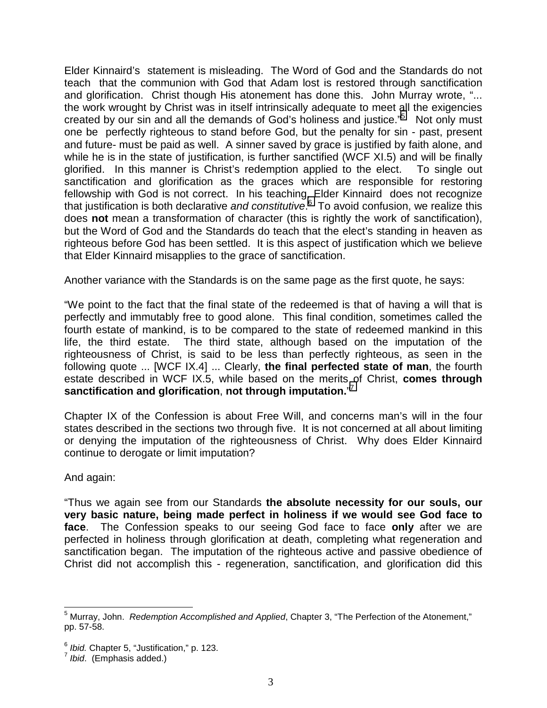Elder Kinnaird's statement is misleading. The Word of God and the Standards do not teach that the communion with God that Adam lost is restored through sanctification and glorification. Christ though His atonement has done this. John Murray wrote, "... the work wrought by Christ was in itself intrinsically adequate to meet all the exigencies created by our sin and all the demands of God's holiness and justice."<sup>5</sup> Not only must one be perfectly righteous to stand before God, but the penalty for sin - past, present and future- must be paid as well. A sinner saved by grace is justified by faith alone, and while he is in the state of justification, is further sanctified (WCF XI.5) and will be finally glorified. In this manner is Christ's redemption applied to the elect. To single out sanctification and glorification as the graces which are responsible for restoring fellowship with God is not correct. In his teaching, Elder Kinnaird does not recognize that justification is both declarative *and constitutive*. 6 To avoid confusion, we realize this does **not** mean a transformation of character (this is rightly the work of sanctification), but the Word of God and the Standards do teach that the elect's standing in heaven as righteous before God has been settled. It is this aspect of justification which we believe that Elder Kinnaird misapplies to the grace of sanctification.

Another variance with the Standards is on the same page as the first quote, he says:

"We point to the fact that the final state of the redeemed is that of having a will that is perfectly and immutably free to good alone. This final condition, sometimes called the fourth estate of mankind, is to be compared to the state of redeemed mankind in this life, the third estate. The third state, although based on the imputation of the righteousness of Christ, is said to be less than perfectly righteous, as seen in the following quote ... [WCF IX.4] ... Clearly, **the final perfected state of man**, the fourth estate described in WCF IX.5, while based on the merits of Christ, **comes through sanctification and glorification**, **not through imputation.**" 7

Chapter IX of the Confession is about Free Will, and concerns man's will in the four states described in the sections two through five. It is not concerned at all about limiting or denying the imputation of the righteousness of Christ. Why does Elder Kinnaird continue to derogate or limit imputation?

And again:

 $\overline{a}$ 

"Thus we again see from our Standards **the absolute necessity for our souls, our very basic nature, being made perfect in holiness if we would see God face to face**. The Confession speaks to our seeing God face to face **only** after we are perfected in holiness through glorification at death, completing what regeneration and sanctification began. The imputation of the righteous active and passive obedience of Christ did not accomplish this - regeneration, sanctification, and glorification did this

<sup>&</sup>lt;sup>5</sup> Murray, John. *Redemption Accomplished and Applied*, Chapter 3, "The Perfection of the Atonement," pp. 57-58.

<sup>6</sup> *Ibid.* Chapter 5, "Justification," p. 123. <sup>7</sup> *Ibid*. (Emphasis added.)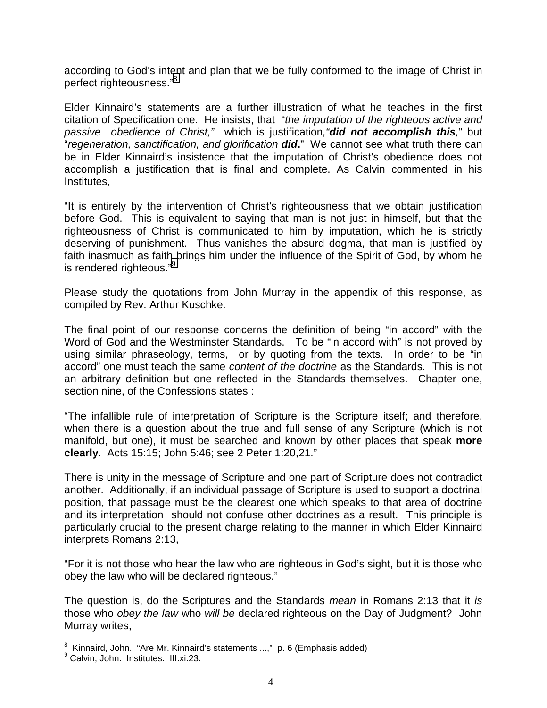according to God's intent and plan that we be fully conformed to the image of Christ in perfect righteousness."8

Elder Kinnaird's statements are a further illustration of what he teaches in the first citation of Specification one. He insists, that "*the imputation of the righteous active and passive obedience of Christ,"* which is justification*,"did not accomplish this,*" but "*regeneration, sanctification, and glorification did***.**" We cannot see what truth there can be in Elder Kinnaird's insistence that the imputation of Christ's obedience does not accomplish a justification that is final and complete. As Calvin commented in his Institutes,

"It is entirely by the intervention of Christ's righteousness that we obtain justification before God. This is equivalent to saying that man is not just in himself, but that the righteousness of Christ is communicated to him by imputation, which he is strictly deserving of punishment. Thus vanishes the absurd dogma, that man is justified by faith inasmuch as faith brings him under the influence of the Spirit of God, by whom he is rendered righteous."<sup>9</sup>

Please study the quotations from John Murray in the appendix of this response, as compiled by Rev. Arthur Kuschke.

The final point of our response concerns the definition of being "in accord" with the Word of God and the Westminster Standards. To be "in accord with" is not proved by using similar phraseology, terms, or by quoting from the texts. In order to be "in accord" one must teach the same *content of the doctrine* as the Standards. This is not an arbitrary definition but one reflected in the Standards themselves. Chapter one, section nine, of the Confessions states :

"The infallible rule of interpretation of Scripture is the Scripture itself; and therefore, when there is a question about the true and full sense of any Scripture (which is not manifold, but one), it must be searched and known by other places that speak **more clearly**. Acts 15:15; John 5:46; see 2 Peter 1:20,21."

There is unity in the message of Scripture and one part of Scripture does not contradict another. Additionally, if an individual passage of Scripture is used to support a doctrinal position, that passage must be the clearest one which speaks to that area of doctrine and its interpretation should not confuse other doctrines as a result. This principle is particularly crucial to the present charge relating to the manner in which Elder Kinnaird interprets Romans 2:13,

"For it is not those who hear the law who are righteous in God's sight, but it is those who obey the law who will be declared righteous."

The question is, do the Scriptures and the Standards *mean* in Romans 2:13 that it *is* those who *obey the law* who *will be* declared righteous on the Day of Judgment? John Murray writes,

 8 Kinnaird, John. "Are Mr. Kinnaird's statements ...," p. 6 (Emphasis added)

<sup>&</sup>lt;sup>9</sup> Calvin, John. Institutes. III.xi.23.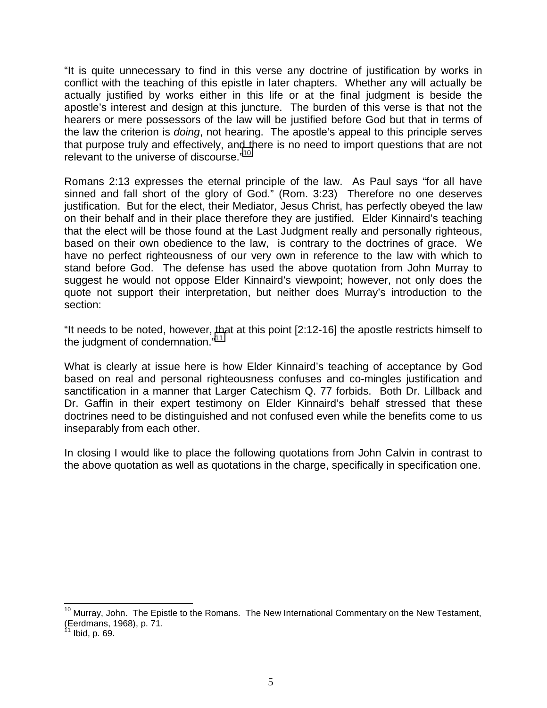"It is quite unnecessary to find in this verse any doctrine of justification by works in conflict with the teaching of this epistle in later chapters. Whether any will actually be actually justified by works either in this life or at the final judgment is beside the apostle's interest and design at this juncture. The burden of this verse is that not the hearers or mere possessors of the law will be justified before God but that in terms of the law the criterion is *doing*, not hearing. The apostle's appeal to this principle serves that purpose truly and effectively, and there is no need to import questions that are not relevant to the universe of discourse."10

Romans 2:13 expresses the eternal principle of the law. As Paul says "for all have sinned and fall short of the glory of God." (Rom. 3:23) Therefore no one deserves justification. But for the elect, their Mediator, Jesus Christ, has perfectly obeyed the law on their behalf and in their place therefore they are justified. Elder Kinnaird's teaching that the elect will be those found at the Last Judgment really and personally righteous, based on their own obedience to the law, is contrary to the doctrines of grace. We have no perfect righteousness of our very own in reference to the law with which to stand before God. The defense has used the above quotation from John Murray to suggest he would not oppose Elder Kinnaird's viewpoint; however, not only does the quote not support their interpretation, but neither does Murray's introduction to the section:

"It needs to be noted, however, that at this point [2:12-16] the apostle restricts himself to the judgment of condemnation."<sup>11</sup>

What is clearly at issue here is how Elder Kinnaird's teaching of acceptance by God based on real and personal righteousness confuses and co-mingles justification and sanctification in a manner that Larger Catechism Q. 77 forbids. Both Dr. Lillback and Dr. Gaffin in their expert testimony on Elder Kinnaird's behalf stressed that these doctrines need to be distinguished and not confused even while the benefits come to us inseparably from each other.

In closing I would like to place the following quotations from John Calvin in contrast to the above quotation as well as quotations in the charge, specifically in specification one.

l

<sup>&</sup>lt;sup>10</sup> Murray, John. The Epistle to the Romans. The New International Commentary on the New Testament, (Eerdmans, 1968), p. 71.

Ibid, p. 69.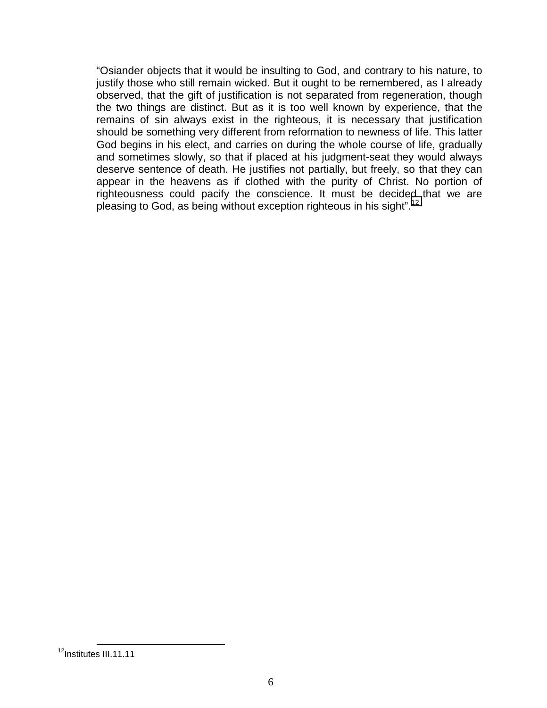"Osiander objects that it would be insulting to God, and contrary to his nature, to justify those who still remain wicked. But it ought to be remembered, as I already observed, that the gift of justification is not separated from regeneration, though the two things are distinct. But as it is too well known by experience, that the remains of sin always exist in the righteous, it is necessary that justification should be something very different from reformation to newness of life. This latter God begins in his elect, and carries on during the whole course of life, gradually and sometimes slowly, so that if placed at his judgment-seat they would always deserve sentence of death. He justifies not partially, but freely, so that they can appear in the heavens as if clothed with the purity of Christ. No portion of righteousness could pacify the conscience. It must be decided that we are pleasing to God, as being without exception righteous in his sight".<sup>12</sup>

<sup>&</sup>lt;sup>12</sup>Institutes III.11.11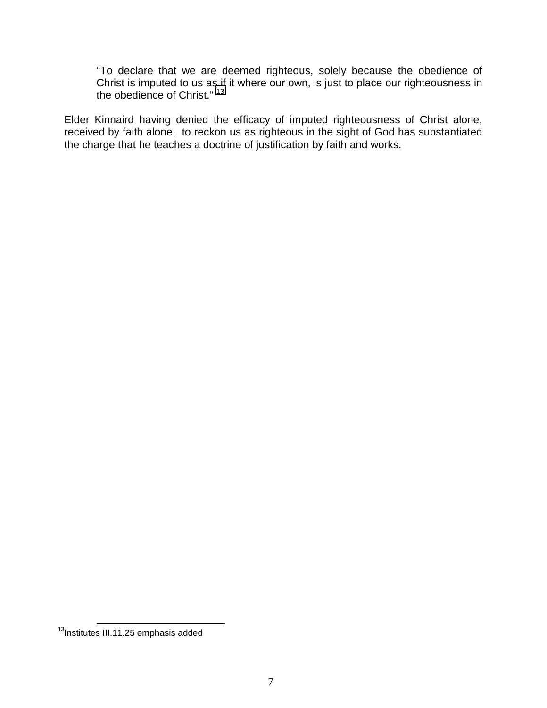"To declare that we are deemed righteous, solely because the obedience of Christ is imputed to us as if it where our own, is just to place our righteousness in the obedience of Christ." 13

Elder Kinnaird having denied the efficacy of imputed righteousness of Christ alone, received by faith alone, to reckon us as righteous in the sight of God has substantiated the charge that he teaches a doctrine of justification by faith and works.

<sup>&</sup>lt;sup>13</sup>Institutes III.11.25 emphasis added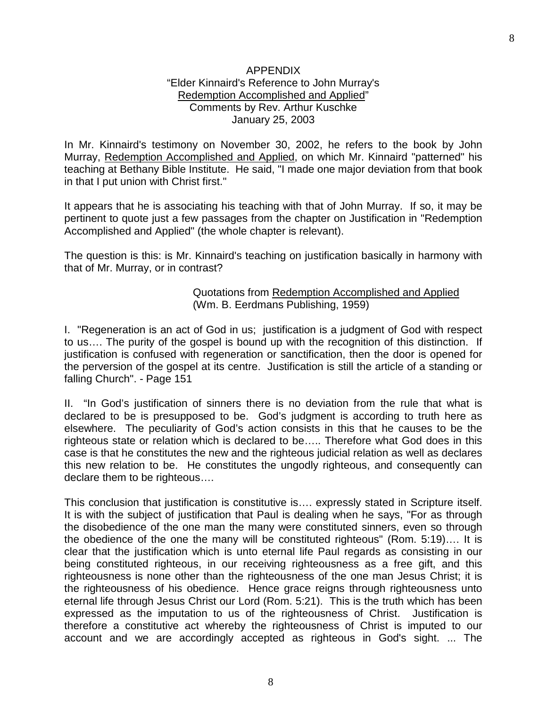In Mr. Kinnaird's testimony on November 30, 2002, he refers to the book by John Murray, Redemption Accomplished and Applied, on which Mr. Kinnaird "patterned" his teaching at Bethany Bible Institute. He said, "I made one major deviation from that book in that I put union with Christ first."

It appears that he is associating his teaching with that of John Murray. If so, it may be pertinent to quote just a few passages from the chapter on Justification in "Redemption Accomplished and Applied" (the whole chapter is relevant).

The question is this: is Mr. Kinnaird's teaching on justification basically in harmony with that of Mr. Murray, or in contrast?

## Quotations from Redemption Accomplished and Applied (Wm. B. Eerdmans Publishing, 1959)

I. "Regeneration is an act of God in us; justification is a judgment of God with respect to us…. The purity of the gospel is bound up with the recognition of this distinction. If justification is confused with regeneration or sanctification, then the door is opened for the perversion of the gospel at its centre. Justification is still the article of a standing or falling Church". - Page 151

II. "In God's justification of sinners there is no deviation from the rule that what is declared to be is presupposed to be. God's judgment is according to truth here as elsewhere. The peculiarity of God's action consists in this that he causes to be the righteous state or relation which is declared to be….. Therefore what God does in this case is that he constitutes the new and the righteous judicial relation as well as declares this new relation to be. He constitutes the ungodly righteous, and consequently can declare them to be righteous….

This conclusion that justification is constitutive is…. expressly stated in Scripture itself. It is with the subject of justification that Paul is dealing when he says, "For as through the disobedience of the one man the many were constituted sinners, even so through the obedience of the one the many will be constituted righteous" (Rom. 5:19)…. It is clear that the justification which is unto eternal life Paul regards as consisting in our being constituted righteous, in our receiving righteousness as a free gift, and this righteousness is none other than the righteousness of the one man Jesus Christ; it is the righteousness of his obedience. Hence grace reigns through righteousness unto eternal life through Jesus Christ our Lord (Rom. 5:21). This is the truth which has been expressed as the imputation to us of the righteousness of Christ. Justification is therefore a constitutive act whereby the righteousness of Christ is imputed to our account and we are accordingly accepted as righteous in God's sight. ... The